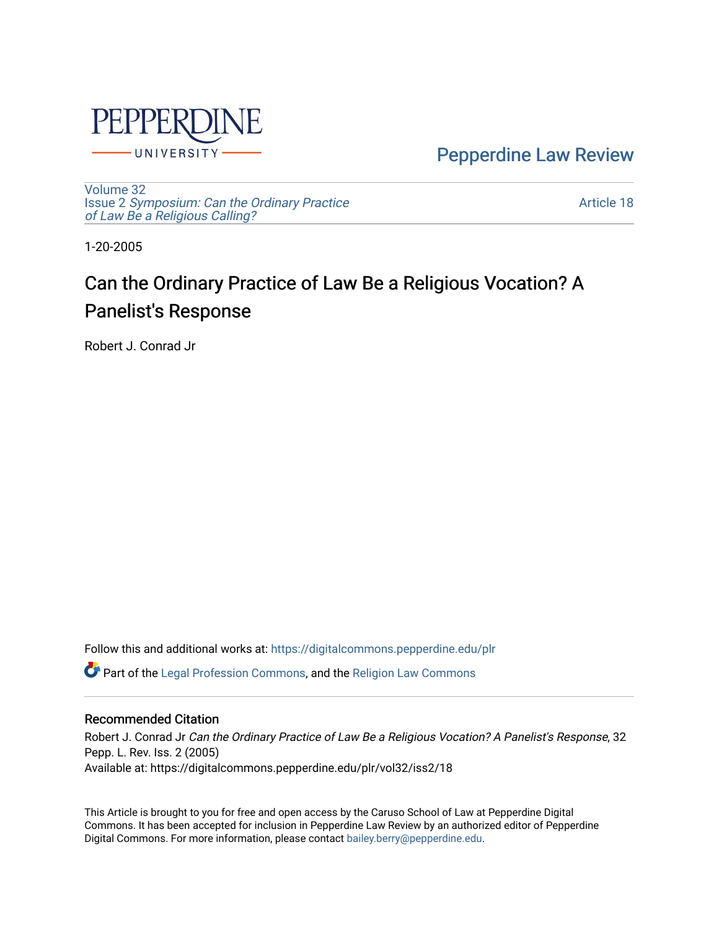

[Pepperdine Law Review](https://digitalcommons.pepperdine.edu/plr) 

[Volume 32](https://digitalcommons.pepperdine.edu/plr/vol32) Issue 2 [Symposium: Can the Ordinary Practice](https://digitalcommons.pepperdine.edu/plr/vol32/iss2) [of Law Be a Religious Calling?](https://digitalcommons.pepperdine.edu/plr/vol32/iss2) 

[Article 18](https://digitalcommons.pepperdine.edu/plr/vol32/iss2/18) 

1-20-2005

# Can the Ordinary Practice of Law Be a Religious Vocation? A Panelist's Response

Robert J. Conrad Jr

Follow this and additional works at: [https://digitalcommons.pepperdine.edu/plr](https://digitalcommons.pepperdine.edu/plr?utm_source=digitalcommons.pepperdine.edu%2Fplr%2Fvol32%2Fiss2%2F18&utm_medium=PDF&utm_campaign=PDFCoverPages)

Part of the [Legal Profession Commons](http://network.bepress.com/hgg/discipline/1075?utm_source=digitalcommons.pepperdine.edu%2Fplr%2Fvol32%2Fiss2%2F18&utm_medium=PDF&utm_campaign=PDFCoverPages), and the [Religion Law Commons](http://network.bepress.com/hgg/discipline/872?utm_source=digitalcommons.pepperdine.edu%2Fplr%2Fvol32%2Fiss2%2F18&utm_medium=PDF&utm_campaign=PDFCoverPages)

## Recommended Citation

Robert J. Conrad Jr Can the Ordinary Practice of Law Be a Religious Vocation? A Panelist's Response, 32 Pepp. L. Rev. Iss. 2 (2005) Available at: https://digitalcommons.pepperdine.edu/plr/vol32/iss2/18

This Article is brought to you for free and open access by the Caruso School of Law at Pepperdine Digital Commons. It has been accepted for inclusion in Pepperdine Law Review by an authorized editor of Pepperdine Digital Commons. For more information, please contact [bailey.berry@pepperdine.edu.](mailto:bailey.berry@pepperdine.edu)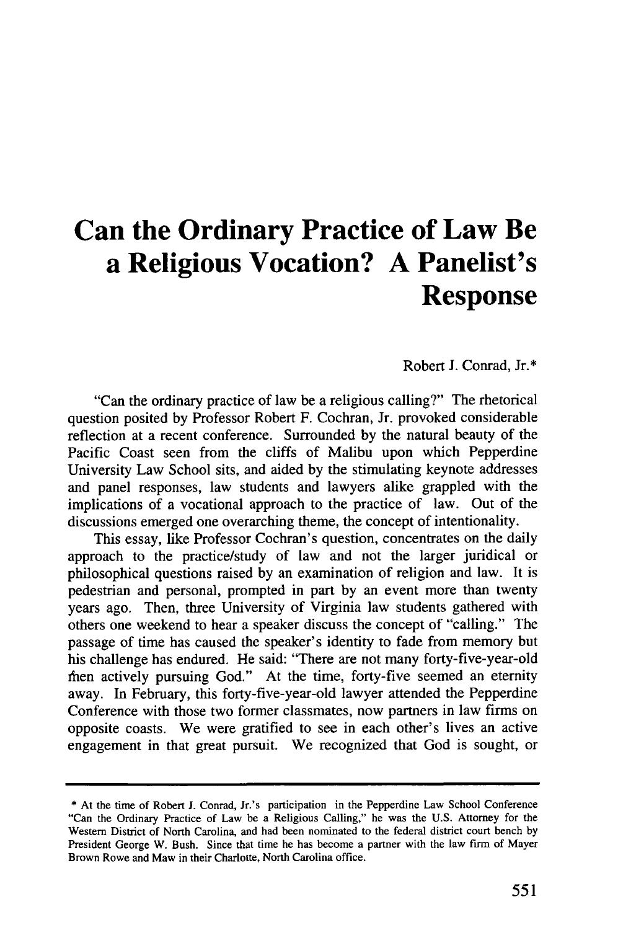# **Can the Ordinary Practice of Law Be a Religious Vocation? A Panelist's Response**

#### Robert J. Conrad, Jr.\*

"Can the ordinary practice of law be a religious calling?" The rhetorical question posited by Professor Robert F. Cochran, Jr. provoked considerable reflection at a recent conference. Surrounded by the natural beauty of the Pacific Coast seen from the cliffs of Malibu upon which Pepperdine University Law School sits, and aided by the stimulating keynote addresses and panel responses, law students and lawyers alike grappled with the implications of a vocational approach to the practice of law. Out of the discussions emerged one overarching theme, the concept of intentionality.

This essay, like Professor Cochran's question, concentrates on the daily approach to the practice/study of law and not the larger juridical or philosophical questions raised by an examination of religion and law. It is pedestrian and personal, prompted in part by an event more than twenty years ago. Then, three University of Virginia law students gathered with others one weekend to hear a speaker discuss the concept of "calling." The passage of time has caused the speaker's identity to fade from memory but his challenge has endured. He said: "There are not many forty-five-year-old then actively pursuing God." At the time, forty-five seemed an eternity away. In February, this forty-five-year-old lawyer attended the Pepperdine Conference with those two former classmates, now partners in law firms on opposite coasts. We were gratified to see in each other's lives an active engagement in that great pursuit. We recognized that God is sought, or

<sup>\*</sup> At the time of Robert J. Conrad, Jr.'s participation in the Pepperdine Law School Conference "Can the Ordinary Practice of Law be a Religious Calling," he was the U.S. Attorney for the Western District of North Carolina, and had been nominated to the federal district court bench by President George W. Bush. Since that time he has become a partner with the law firm of Mayer Brown Rowe and Maw in their Charlotte, North Carolina office.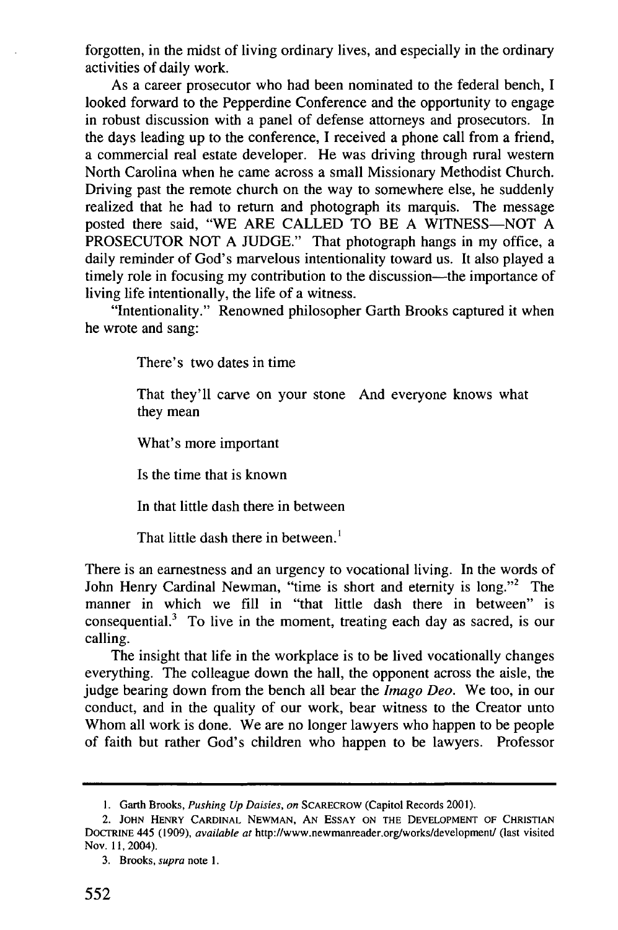forgotten, in the midst of living ordinary lives, and especially in the ordinary activities of daily work.

As a career prosecutor who had been nominated to the federal bench, I looked forward to the Pepperdine Conference and the opportunity to engage in robust discussion with a panel of defense attorneys and prosecutors. In the days leading up to the conference, I received a phone call from a friend, a commercial real estate developer. He was driving through rural western North Carolina when he came across a small Missionary Methodist Church. Driving past the remote church on the way to somewhere else, he suddenly realized that he had to return and photograph its marquis. The message posted there said, "WE ARE CALLED TO BE A WITNESS-NOT A PROSECUTOR NOT A JUDGE." That photograph hangs in my office, a daily reminder of God's marvelous intentionality toward us. It also played a timely role in focusing my contribution to the discussion—the importance of living life intentionally, the life of a witness.

"Intentionality." Renowned philosopher Garth Brooks captured it when he wrote and sang:

There's two dates in time

That they'll carve on your stone And everyone knows what they mean

What's more important

Is the time that is known

In that little dash there in between

That little dash there in between.<sup>1</sup>

There is an earnestness and an urgency to vocational living. In the words of John Henry Cardinal Newman, "time is short and eternity is long."<sup>2</sup> The manner in which we fill in "that little dash there in between" is consequential.3 To live in the moment, treating each day as sacred, is our calling.

The insight that life in the workplace is to be lived vocationally changes everything. The colleague down the hall, the opponent across the aisle, the judge bearing down from the bench all bear the *Imago Deo.* We too, in our conduct, and in the quality of our work, bear witness to the Creator unto Whom all work is done. We are no longer lawyers who happen to be people of faith but rather God's children who happen to be lawyers. Professor

**<sup>1.</sup>** Garth Brooks, *Pushing Up Daisies, on* SCARECROW (Capitol Records 2001).

<sup>2.</sup> **JOHN** HENRY **CARDINAL NEWMAN, AN ESSAY ON** THE **DEVELOPMENT** OF **CHRISTIAN** DOCTRINE 445 (1909), *available at* http://www.newmanreader.org/works/development/ (last visited Nov. **11,** 2004).

<sup>3.</sup> Brooks, *supra* note **1.**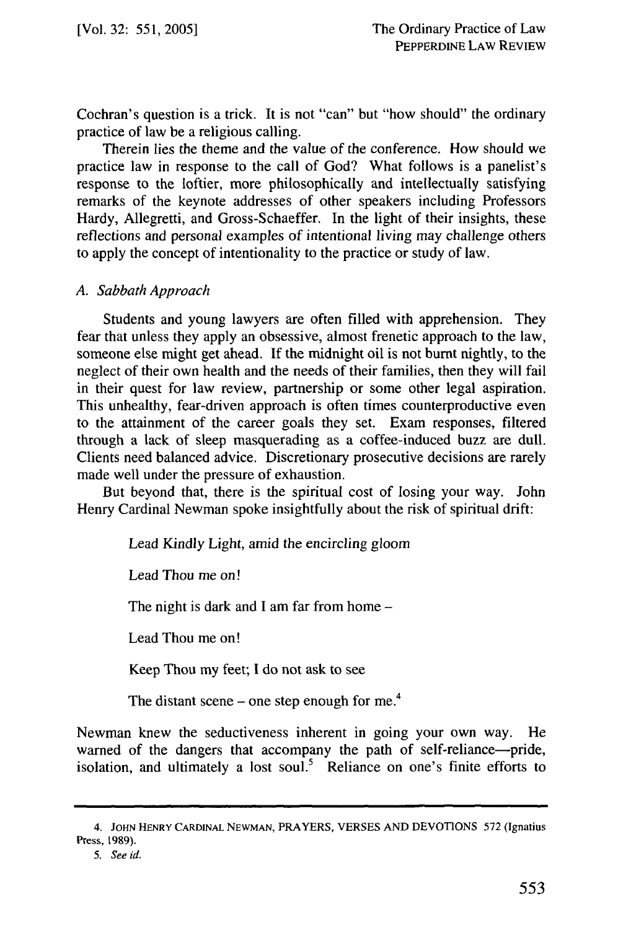Cochran's question is a trick. It is not "can" but "how should" the ordinary practice of law be a religious calling.

Therein lies the theme and the value of the conference. How should we practice law in response to the call of God? What follows is a panelist's response to the loftier, more philosophically and intellectually satisfying remarks of the keynote addresses of other speakers including Professors Hardy, Allegretti, and Gross-Schaeffer. In the light of their insights, these reflections and personal examples of intentional living may challenge others to apply the concept of intentionality to the practice or study of law.

#### *A. Sabbath Approach*

Students and young lawyers are often filled with apprehension. They fear that unless they apply an obsessive, almost frenetic approach to the law, someone else might get ahead. If the midnight oil is not burnt nightly, to the neglect of their own health and the needs of their families, then they will fail in their quest for law review, partnership or some other legal aspiration. This unhealthy, fear-driven approach is often times counterproductive even to the attainment of the career goals they set. Exam responses, filtered through a lack of sleep masquerading as a coffee-induced buzz are dull. Clients need balanced advice. Discretionary prosecutive decisions are rarely made well under the pressure of exhaustion.

But beyond that, there is the spiritual cost of losing your way. John Henry Cardinal Newman spoke insightfully about the risk of spiritual drift:

Lead Kindly Light, amid the encircling gloom

Lead Thou me on!

The night is dark and I am far from home  $-$ 

Lead Thou me on!

Keep Thou my feet; I do not ask to see

The distant scene – one step enough for me.<sup>4</sup>

Newman knew the seductiveness inherent in going your own way. He warned of the dangers that accompany the path of self-reliance-pride isolation, and ultimately a lost soul.<sup>5</sup> Reliance on one's finite efforts to

<sup>4.</sup> **JOHN** HENRY CARDINAL NEWMAN, PRAYERS, VERSES **AND DEVOTIONS** 572 (Ignatius Press, **1989).**

<sup>5.</sup> See id.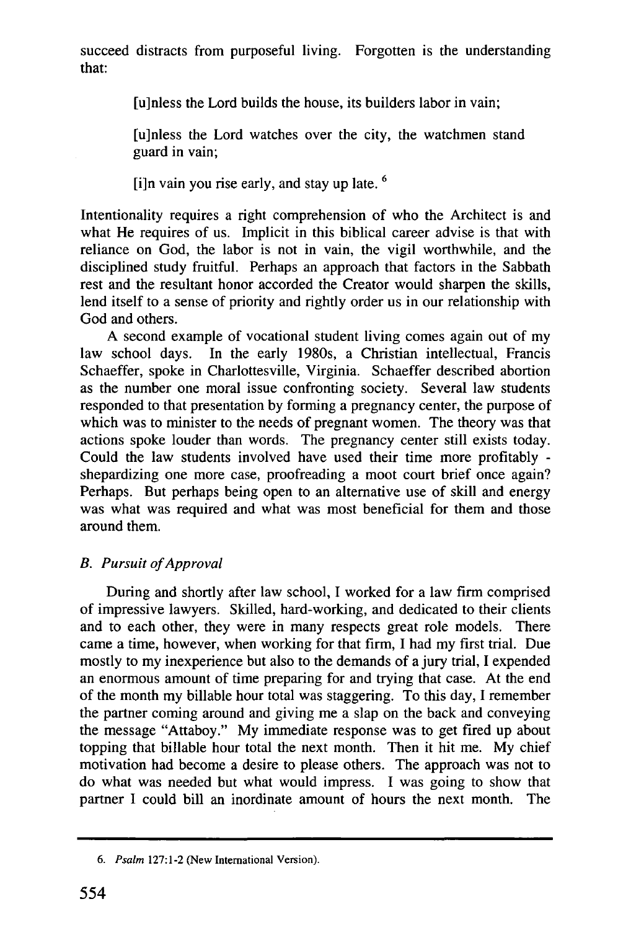succeed distracts from purposeful living. Forgotten is the understanding that:

[u]nless the Lord builds the house, its builders labor in vain;

[u]nless the Lord watches over the city, the watchmen stand guard in vain;

[i]n vain you rise early, and stay up late.  $6$ 

Intentionality requires a right comprehension of who the Architect is and what He requires of us. Implicit in this biblical career advise is that with reliance on God, the labor is not in vain, the vigil worthwhile, and the disciplined study fruitful. Perhaps an approach that factors in the Sabbath rest and the resultant honor accorded the Creator would sharpen the skills, lend itself to a sense of priority and rightly order us in our relationship with God and others.

A second example of vocational student living comes again out of my law school days. In the early 1980s, a Christian intellectual, Francis Schaeffer, spoke in Charlottesville, Virginia. Schaeffer described abortion as the number one moral issue confronting society. Several law students responded to that presentation by forming a pregnancy center, the purpose of which was to minister to the needs of pregnant women. The theory was that actions spoke louder than words. The pregnancy center still exists today. Could the law students involved have used their time more profitably shepardizing one more case, proofreading a moot court brief once again? Perhaps. But perhaps being open to an alternative use of skill and energy was what was required and what was most beneficial for them and those around them.

# *B. Pursuit of Approval*

During and shortly after law school, I worked for a law firm comprised of impressive lawyers. Skilled, hard-working, and dedicated to their clients and to each other, they were in many respects great role models. There came a time, however, when working for that firm, I had my first trial. Due mostly to my inexperience but also to the demands of a jury trial, I expended an enormous amount of time preparing for and trying that case. At the end of the month my billable hour total was staggering. To this day, I remember the partner coming around and giving me a slap on the back and conveying the message "Attaboy." My immediate response was to get fired up about topping that billable hour total the next month. Then it hit me. My chief motivation had become a desire to please others. The approach was not to do what was needed but what would impress. I was going to show that partner I could bill an inordinate amount of hours the next month. The

*<sup>6.</sup> Psalm* 127:1-2 (New International Version).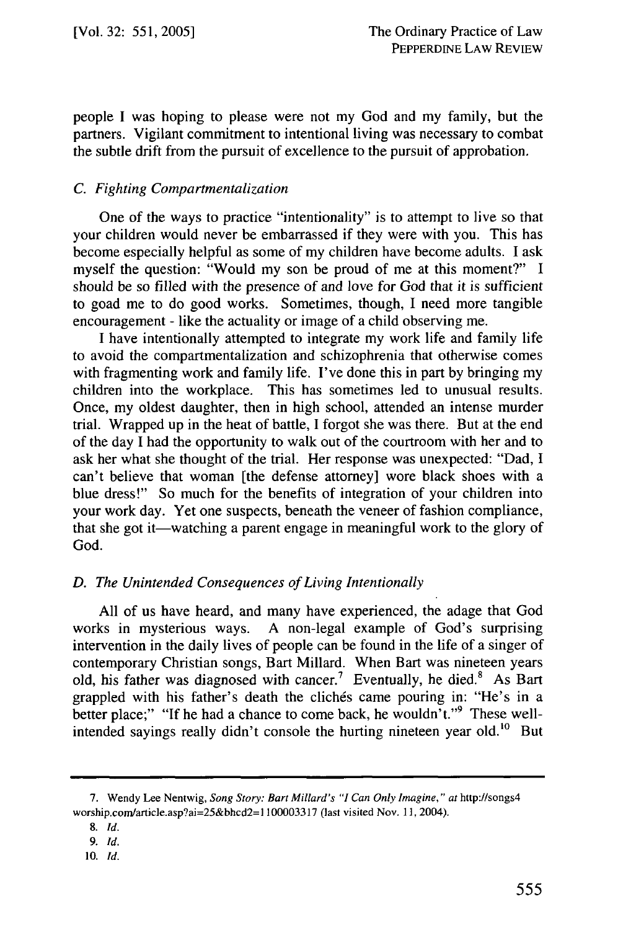people I was hoping to please were not my God and my family, but the partners. Vigilant commitment to intentional living was necessary to combat the subtle drift from the pursuit of excellence to the pursuit of approbation.

## *C. Fighting Compartmentalization*

One of the ways to practice "intentionality" is to attempt to live so that your children would never be embarrassed if they were with you. This has become especially helpful as some of my children have become adults. I ask myself the question: "Would my son be proud of me at this moment?" I should be so filled with the presence of and love for God that it is sufficient to goad me to do good works. Sometimes, though, I need more tangible encouragement - like the actuality or image of a child observing me.

I have intentionally attempted to integrate my work life and family life to avoid the compartmentalization and schizophrenia that otherwise comes with fragmenting work and family life. I've done this in part by bringing my children into the workplace. This has sometimes led to unusual results. Once, my oldest daughter, then in high school, attended an intense murder trial. Wrapped up in the heat of battle, I forgot she was there. But at the end of the day I had the opportunity to walk out of the courtroom with her and to ask her what she thought of the trial. Her response was unexpected: "Dad, I can't believe that woman [the defense attorney] wore black shoes with a blue dress!" So much for the benefits of integration of your children into your work day. Yet one suspects, beneath the veneer of fashion compliance, that she got it—watching a parent engage in meaningful work to the glory of God.

## *D. The Unintended Consequences of Living Intentionally*

All of us have heard, and many have experienced, the adage that God works in mysterious ways. A non-legal example of God's surprising intervention in the daily lives of people can be found in the life of a singer of contemporary Christian songs, Bart Millard. When Bart was nineteen years old, his father was diagnosed with cancer.<sup>7</sup> Eventually, he died.<sup>8</sup> As Bart grappled with his father's death the clichés came pouring in: "He's in a better place;" "If he had a chance to come back, he wouldn't."<sup>9</sup> These wellintended sayings really didn't console the hurting nineteen year old.<sup>10</sup> But

<sup>7.</sup> Wendy Lee Nentwig, *Song Story: Bart Millard's "I Can Only Imagine," at* http://songs4 worship.com/article.asp?ai=25&bhcd2=1 100003317 (last visited Nov. 11, 2004).

<sup>8.</sup> *Id.*

*<sup>9.</sup> Id.*

**<sup>10.</sup>** *Id.*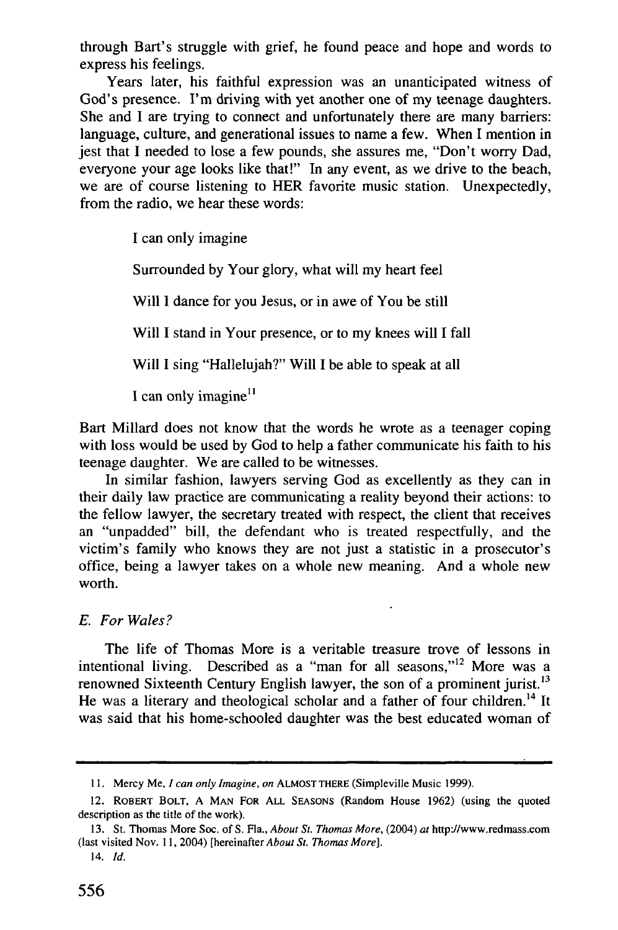through Bart's struggle with grief, he found peace and hope and words to express his feelings.

Years later, his faithful expression was an unanticipated witness of God's presence. I'm driving with yet another one of my teenage daughters. She and I are trying to connect and unfortunately there are many barriers: language, culture, and generational issues to name a few. When I mention in jest that I needed to lose a few pounds, she assures me, "Don't worry Dad, everyone your age looks like that!" In any event, as we drive to the beach, we are of course listening to HER favorite music station. Unexpectedly, from the radio, we hear these words:

I can only imagine

Surrounded by Your glory, what will my heart feel

Will I dance for you Jesus, or in awe of You be still

Will I stand in Your presence, or to my knees will I fall

Will I sing "Hallelujah?" Will I be able to speak at all

I can only imagine<sup>1</sup>

Bart Millard does not know that the words he wrote as a teenager coping with loss would be used by God to help a father communicate his faith to his teenage daughter. We are called to be witnesses.

In similar fashion, lawyers serving God as excellently as they can in their daily law practice are communicating a reality beyond their actions: to the fellow lawyer, the secretary treated with respect, the client that receives an "unpadded" bill, the defendant who is treated respectfully, and the victim's family who knows they are not just a statistic in a prosecutor's office, being a lawyer takes on a whole new meaning. And a whole new worth.

 $\ddot{\phantom{0}}$ 

## *E. For Wales?*

The life of Thomas More is a veritable treasure trove of lessons in intentional living. Described as a "man for all seasons,"<sup>12</sup> More was a renowned Sixteenth Century English lawyer, the son of a prominent jurist.<sup>13</sup> He was a literary and theological scholar and a father of four children.<sup>14</sup> It was said that his home-schooled daughter was the best educated woman of

<sup>11.</sup> Mercy Me, *I can only Imagine, on* **ALMOST** THERE (Simpleville Music 1999).

<sup>12.</sup> ROBERT BOLT, **A MAN** FOR **ALL** SEASONS (Random House 1962) (using the quoted description as the title of the work).

<sup>13.</sup> St. Thomas More Soc. of S. Fla., *About St. Thomas More,* (2004) *at* http://www.redmass.com (last visited Nov. 11, 2004) [hereinafter *About St. Thomas More].*

<sup>14.</sup> *Id.*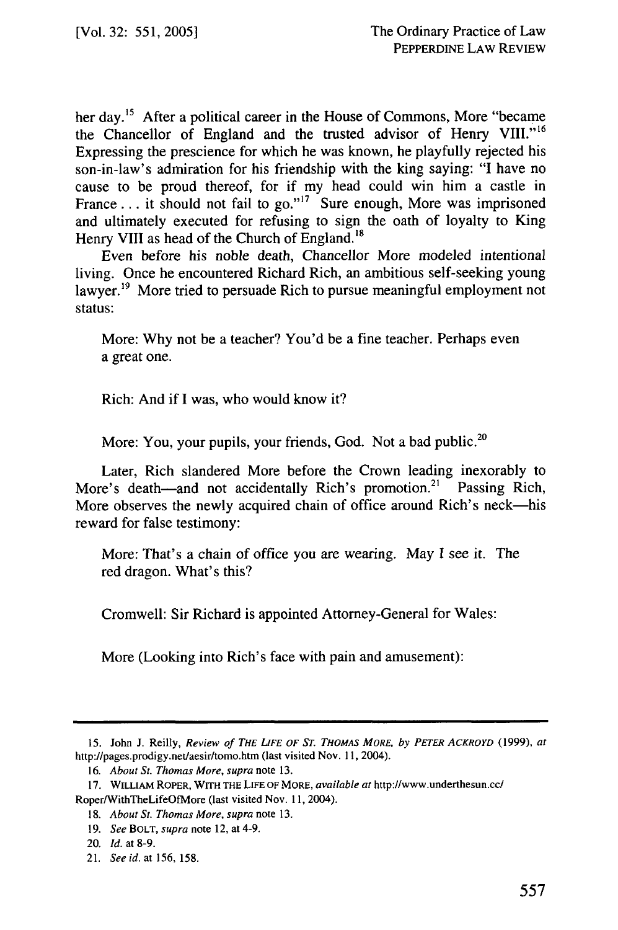her day.<sup>15</sup> After a political career in the House of Commons, More "became the Chancellor of England and the trusted advisor of Henry VIII."<sup>16</sup> Expressing the prescience for which he was known, he playfully rejected his son-in-law's admiration for his friendship with the king saying: "I have no cause to be proud thereof, for if my head could win him a castle in France... it should not fail to go."<sup>17</sup> Sure enough, More was imprisoned and ultimately executed for refusing to sign the oath of loyalty to King Henry VIII as head of the Church of England.<sup>18</sup>

Even before his noble death, Chancellor More modeled intentional living. Once he encountered Richard Rich, an ambitious self-seeking young lawyer.<sup>19</sup> More tried to persuade Rich to pursue meaningful employment not status:

More: Why not be a teacher? You'd be a fine teacher. Perhaps even a great one.

Rich: And if I was, who would know it?

More: You, your pupils, your friends, God. Not a bad public.<sup>20</sup>

Later, Rich slandered More before the Crown leading inexorably to More's death—and not accidentally Rich's promotion.<sup>21</sup> Passing Rich, More observes the newly acquired chain of office around Rich's neck—his reward for false testimony:

More: That's a chain of office you are wearing. May **I** see it. The red dragon. What's this?

Cromwell: Sir Richard is appointed Attorney-General for Wales:

More (Looking into Rich's face with pain and amusement):

<sup>15.</sup> John J. Reilly, *Review of THE LIFE OF ST. THOMAS MORE, by PETER ACKROYD* **(1999),** *at* http://pages.prodigy.net/aesir/tomo.htm (last visited Nov. 11, 2004).

<sup>16.</sup> *About St. Thomas More, supra* note 13.

**<sup>17.</sup>** WILLIAM ROPER, *WlTH* THE *LIFE* OF MORE, *available at* http://www.underthesun.cc/ Roper/WithTheLifeOfMore (last visited Nov. 11, 2004).

*<sup>18.</sup> About St. Thomas More, supra* note 13.

<sup>19.</sup> *See* BOLT, *supra* note 12, at 4-9.

<sup>20.</sup> *Id.* at 8-9.

<sup>21.</sup> *See id. at* 156, 158.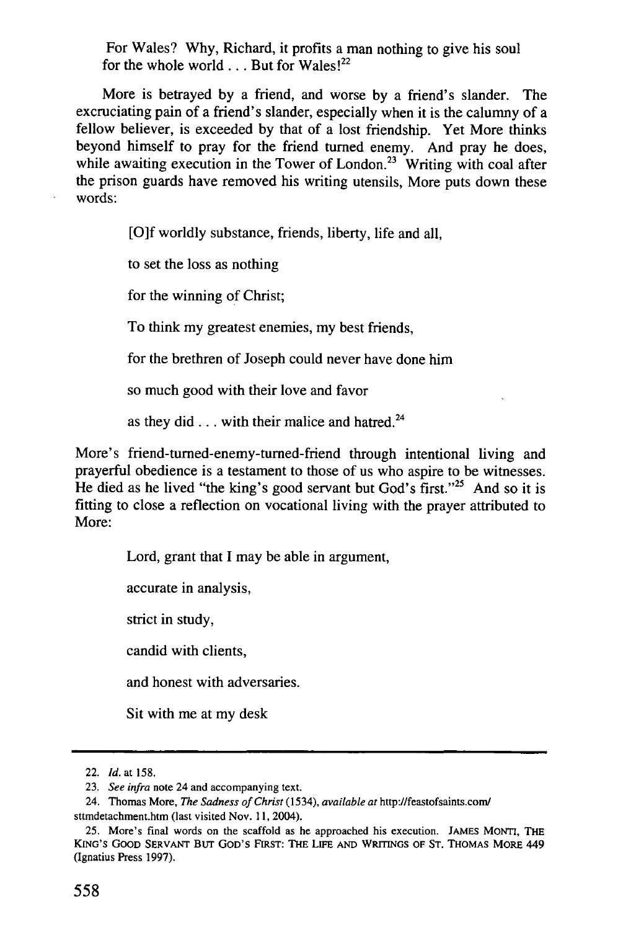For Wales? Why, Richard, it profits a man nothing to give his soul for the whole world... But for Wales!<sup>22</sup>

More is betrayed by a friend, and worse by a friend's slander. The excruciating pain of a friend's slander, especially when it is the calumny of a fellow believer, is exceeded by that of a lost friendship. Yet More thinks beyond himself to pray for the friend turned enemy. And pray he does, while awaiting execution in the Tower of London.<sup>23</sup> Writing with coal after the prison guards have removed his writing utensils, More puts down these words:

[O]f worldly substance, friends, liberty, life and all,

to set the loss as nothing

for the winning of Christ;

To think my greatest enemies, my best friends,

for the brethren of Joseph could never have done him

so much good with their love and favor

as they did **...** with their malice and hatred.24

More's friend-turned-enemy-turned-friend through intentional living and prayerful obedience is a testament to those of us who aspire to be witnesses. He died as he lived "the king's good servant but God's first."<sup>25</sup> And so it is fitting to close a reflection on vocational living with the prayer attributed to More:

Lord, grant that I may be able in argument,

accurate in analysis,

strict in study,

candid with clients,

and honest with adversaries.

Sit with me at my desk

<sup>22.</sup> *Id.* at 158.

<sup>23.</sup> *See infra* note 24 and accompanying text.

<sup>24.</sup> Thomas More, *The Sadness of* Christ (1534), *available* at http://feastofsaints.com/ sttmdetachment.htm (last visited Nov. 11, 2004).

<sup>25.</sup> More's final words on the scaffold as he approached his execution. JAMES MONTi, THE KING'S GOOD SERVANT BUT GOD'S FIRST: THE **LIFE AND WRITINGS** OF **ST. THOMAS** MORE 449 (Ignatius Press 1997).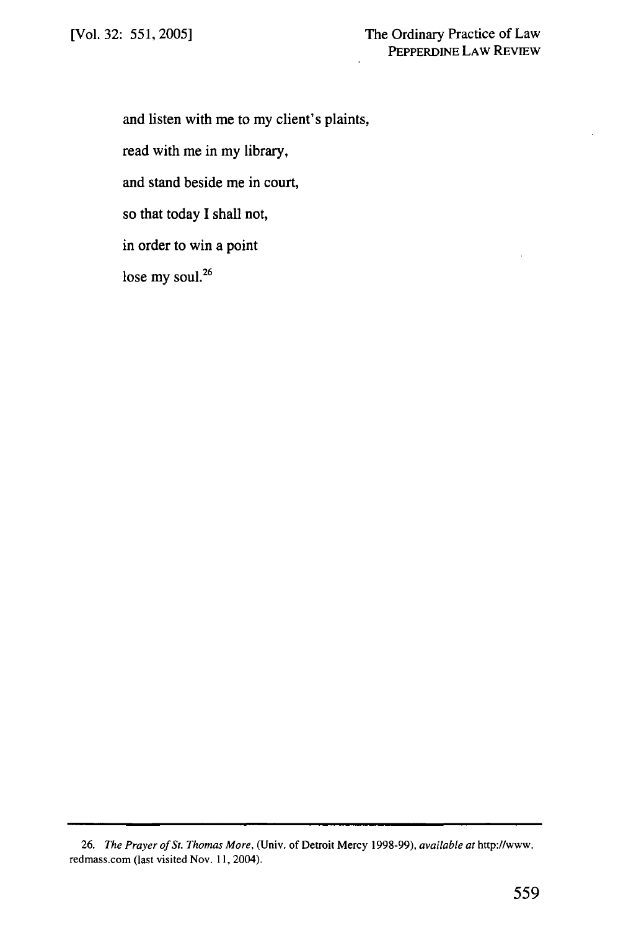and listen with me to my client's plaints,

read with me in my library,

and stand beside me in court,

so that today I shall not,

in order to win a point

lose my soul.<sup>26</sup>

<sup>26.</sup> *The Prayer of St. Thomas More,* (Univ. of Detroit Mercy 1998-99), *available at* http://www. redmass.com (last visited Nov. 11, 2004).